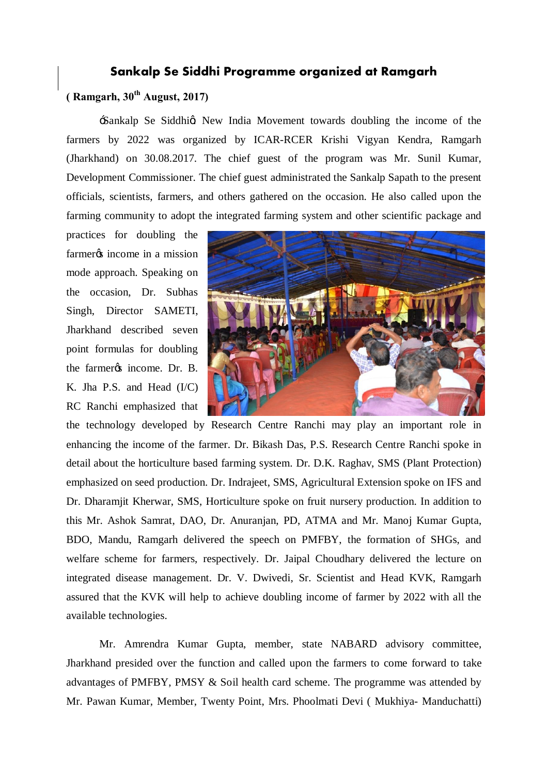## **Sankalp Se Siddhi Programme organized at Ramgarh**

## **( Ramgarh, 30th August, 2017)**

Sankalp Se Siddhig New India Movement towards doubling the income of the farmers by 2022 was organized by ICAR-RCER Krishi Vigyan Kendra, Ramgarh (Jharkhand) on 30.08.2017. The chief guest of the program was Mr. Sunil Kumar, Development Commissioner. The chief guest administrated the Sankalp Sapath to the present officials, scientists, farmers, and others gathered on the occasion. He also called upon the farming community to adopt the integrated farming system and other scientific package and

practices for doubling the farmer<sub>os</sub> income in a mission mode approach. Speaking on the occasion, Dr. Subhas Singh, Director SAMETI, Jharkhand described seven point formulas for doubling the farmer *o*s income. Dr. B. K. Jha P.S. and Head (I/C) RC Ranchi emphasized that



the technology developed by Research Centre Ranchi may play an important role in enhancing the income of the farmer. Dr. Bikash Das, P.S. Research Centre Ranchi spoke in detail about the horticulture based farming system. Dr. D.K. Raghav, SMS (Plant Protection) emphasized on seed production. Dr. Indrajeet, SMS, Agricultural Extension spoke on IFS and Dr. Dharamjit Kherwar, SMS, Horticulture spoke on fruit nursery production. In addition to this Mr. Ashok Samrat, DAO, Dr. Anuranjan, PD, ATMA and Mr. Manoj Kumar Gupta, BDO, Mandu, Ramgarh delivered the speech on PMFBY, the formation of SHGs, and welfare scheme for farmers, respectively. Dr. Jaipal Choudhary delivered the lecture on integrated disease management. Dr. V. Dwivedi, Sr. Scientist and Head KVK, Ramgarh assured that the KVK will help to achieve doubling income of farmer by 2022 with all the available technologies.

Mr. Amrendra Kumar Gupta, member, state NABARD advisory committee, Jharkhand presided over the function and called upon the farmers to come forward to take advantages of PMFBY, PMSY & Soil health card scheme. The programme was attended by Mr. Pawan Kumar, Member, Twenty Point, Mrs. Phoolmati Devi ( Mukhiya- Manduchatti)